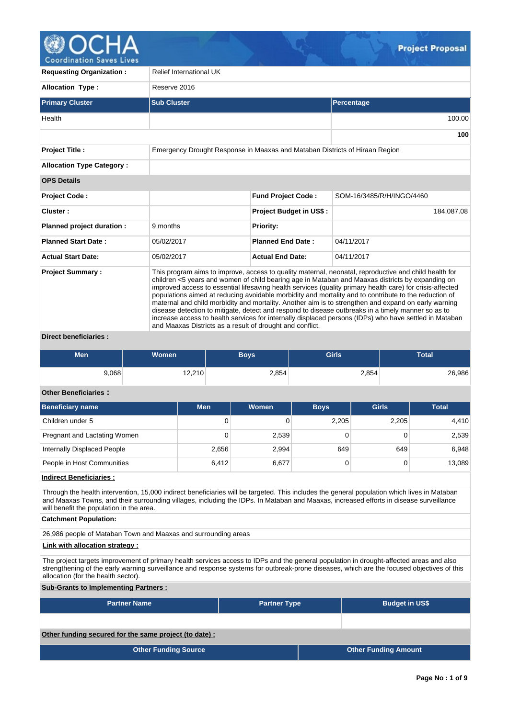

**Coordination Saves Lives** 

| <b>Requesting Organization:</b>  | <b>Relief International UK</b>                                                                                                                                                                                                                                                                                                                                                                                                                                                                                                                                                                                                                                                                                                                                                                                       |                                |                           |  |  |  |  |  |
|----------------------------------|----------------------------------------------------------------------------------------------------------------------------------------------------------------------------------------------------------------------------------------------------------------------------------------------------------------------------------------------------------------------------------------------------------------------------------------------------------------------------------------------------------------------------------------------------------------------------------------------------------------------------------------------------------------------------------------------------------------------------------------------------------------------------------------------------------------------|--------------------------------|---------------------------|--|--|--|--|--|
| <b>Allocation Type:</b>          | Reserve 2016                                                                                                                                                                                                                                                                                                                                                                                                                                                                                                                                                                                                                                                                                                                                                                                                         |                                |                           |  |  |  |  |  |
| <b>Primary Cluster</b>           | <b>Sub Cluster</b>                                                                                                                                                                                                                                                                                                                                                                                                                                                                                                                                                                                                                                                                                                                                                                                                   |                                | Percentage                |  |  |  |  |  |
| Health                           |                                                                                                                                                                                                                                                                                                                                                                                                                                                                                                                                                                                                                                                                                                                                                                                                                      |                                | 100.00                    |  |  |  |  |  |
|                                  |                                                                                                                                                                                                                                                                                                                                                                                                                                                                                                                                                                                                                                                                                                                                                                                                                      |                                | 100                       |  |  |  |  |  |
| <b>Project Title:</b>            | Emergency Drought Response in Maaxas and Mataban Districts of Hiraan Region                                                                                                                                                                                                                                                                                                                                                                                                                                                                                                                                                                                                                                                                                                                                          |                                |                           |  |  |  |  |  |
| <b>Allocation Type Category:</b> |                                                                                                                                                                                                                                                                                                                                                                                                                                                                                                                                                                                                                                                                                                                                                                                                                      |                                |                           |  |  |  |  |  |
| <b>OPS Details</b>               |                                                                                                                                                                                                                                                                                                                                                                                                                                                                                                                                                                                                                                                                                                                                                                                                                      |                                |                           |  |  |  |  |  |
| <b>Project Code:</b>             |                                                                                                                                                                                                                                                                                                                                                                                                                                                                                                                                                                                                                                                                                                                                                                                                                      | <b>Fund Project Code:</b>      | SOM-16/3485/R/H/INGO/4460 |  |  |  |  |  |
| Cluster:                         |                                                                                                                                                                                                                                                                                                                                                                                                                                                                                                                                                                                                                                                                                                                                                                                                                      | <b>Project Budget in US\$:</b> | 184.087.08                |  |  |  |  |  |
| Planned project duration :       | 9 months                                                                                                                                                                                                                                                                                                                                                                                                                                                                                                                                                                                                                                                                                                                                                                                                             | <b>Priority:</b>               |                           |  |  |  |  |  |
| <b>Planned Start Date:</b>       | 05/02/2017                                                                                                                                                                                                                                                                                                                                                                                                                                                                                                                                                                                                                                                                                                                                                                                                           | <b>Planned End Date:</b>       | 04/11/2017                |  |  |  |  |  |
| <b>Actual Start Date:</b>        | 05/02/2017                                                                                                                                                                                                                                                                                                                                                                                                                                                                                                                                                                                                                                                                                                                                                                                                           | <b>Actual End Date:</b>        | 04/11/2017                |  |  |  |  |  |
| <b>Project Summary:</b>          | This program aims to improve, access to quality maternal, neonatal, reproductive and child health for<br>children <5 years and women of child bearing age in Mataban and Maaxas districts by expanding on<br>improved access to essential lifesaving health services (quality primary health care) for crisis-affected<br>populations aimed at reducing avoidable morbidity and mortality and to contribute to the reduction of<br>maternal and child morbidity and mortality. Another aim is to strengthen and expand on early warning<br>disease detection to mitigate, detect and respond to disease outbreaks in a timely manner so as to<br>increase access to health services for internally displaced persons (IDPs) who have settled in Mataban<br>and Maaxas Districts as a result of drought and conflict. |                                |                           |  |  |  |  |  |

## **Direct beneficiaries :**

| <b>Men</b> | <b>Women</b> | Boys' | <b>Girls</b> | <b>Total</b> |
|------------|--------------|-------|--------------|--------------|
| 9,068      | 12,210       | 2,854 | 2,854        | 26,986       |

# **Other Beneficiaries :**

| Beneficiary name             | <b>Men</b> | Women | <b>Boys</b> | <b>Girls</b> | <b>Total</b> |
|------------------------------|------------|-------|-------------|--------------|--------------|
| Children under 5             | 0          |       | 2,205       | 2,205        | 4,410        |
| Pregnant and Lactating Women | 0          | 2,539 |             |              | 2,539        |
| Internally Displaced People  | 2,656      | 2,994 | 649         | 649          | 6,948        |
| People in Host Communities   | 6.412      | 6,677 |             |              | 13,089       |

## **Indirect Beneficiaries :**

Through the health intervention, 15,000 indirect beneficiaries will be targeted. This includes the general population which lives in Mataban and Maaxas Towns, and their surrounding villages, including the IDPs. In Mataban and Maaxas, increased efforts in disease surveillance will benefit the population in the area.

#### **Catchment Population:**

26,986 people of Mataban Town and Maaxas and surrounding areas

# **Link with allocation strategy :**

The project targets improvement of primary health services access to IDPs and the general population in drought-affected areas and also strengthening of the early warning surveillance and response systems for outbreak-prone diseases, which are the focused objectives of this allocation (for the health sector).

## **Sub-Grants to Implementing Partners :**

| <b>Partner Name</b>                                   | <b>Partner Type</b> | <b>Budget in US\$</b>       |
|-------------------------------------------------------|---------------------|-----------------------------|
|                                                       |                     |                             |
| Other funding secured for the same project (to date): |                     |                             |
| <b>Other Funding Source</b>                           |                     | <b>Other Funding Amount</b> |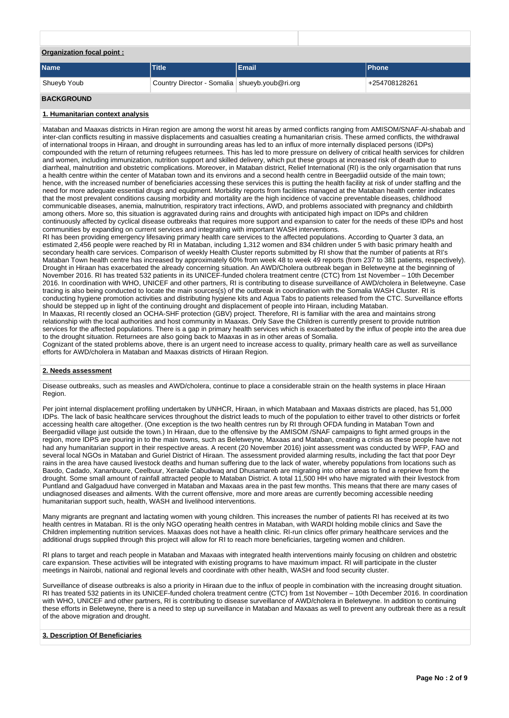| Organization focal point: |                                                 |       |               |  |  |  |  |
|---------------------------|-------------------------------------------------|-------|---------------|--|--|--|--|
| <b>Name</b>               | <b>Title</b>                                    | Email | <b>Phone</b>  |  |  |  |  |
| Shueyb Youb               | Country Director - Somalia   shueyb.youb@ri.org |       | +254708128261 |  |  |  |  |

#### **BACKGROUND**

#### **1. Humanitarian context analysis**

Mataban and Maaxas districts in Hiran region are among the worst hit areas by armed conflicts ranging from AMISOM/SNAF-Al-shabab and inter-clan conflicts resulting in massive displacements and casualties creating a humanitarian crisis. These armed conflicts, the withdrawal of international troops in Hiraan, and drought in surrounding areas has led to an influx of more internally displaced persons (IDPs) compounded with the return of returning refugees returnees. This has led to more pressure on delivery of critical health services for children and women, including immunization, nutrition support and skilled delivery, which put these groups at increased risk of death due to diarrheal, malnutrition and obstetric complications. Moreover, in Mataban district, Relief International (RI) is the only orgarnisation that runs a health centre within the center of Mataban town and its environs and a second health centre in Beergadiid outside of the main town; hence, with the increased number of beneficiaries accessing these services this is putting the health facility at risk of under staffing and the need for more adequate essential drugs and equipment. Morbidity reports from facilities managed at the Mataban health center indicates that the most prevalent conditions causing morbidity and mortality are the high incidence of vaccine preventable diseases, childhood communicable diseases, anemia, malnutrition, respiratory tract infections, AWD, and problems associated with pregnancy and childbirth among others. More so, this situation is aggravated during rains and droughts with anticipated high impact on IDPs and children continuously affected by cyclical disease outbreaks that requires more support and expansion to cater for the needs of these IDPs and host communities by expanding on current services and integrating with important WASH interventions.

RI has been providing emergency lifesaving primary health care services to the affected populations. According to Quarter 3 data, an estimated 2,456 people were reached by RI in Mataban, including 1,312 women and 834 children under 5 with basic primary health and secondary health care services. Comparison of weekly Health Cluster reports submitted by RI show that the number of patients at RI's Mataban Town health centre has increased by approximately 60% from week 48 to week 49 reports (from 237 to 381 patients, respectively). Drought in Hiraan has exacerbated the already concerning situation. An AWD/Cholera outbreak began in Beletweyne at the beginning of November 2016. RI has treated 532 patients in its UNICEF-funded cholera treatment centre (CTC) from 1st November – 10th December 2016. In coordination with WHO, UNICEF and other partners, RI is contributing to disease surveillance of AWD/cholera in Beletweyne. Case tracing is also being conducted to locate the main sources(s) of the outbreak in coordination with the Somalia WASH Cluster. RI is conducting hygiene promotion activities and distributing hygiene kits and Aqua Tabs to patients released from the CTC. Surveillance efforts should be stepped up in light of the continuing drought and displacement of people into Hiraan, including Mataban. In Maaxas, RI recently closed an OCHA-SHF protection (GBV) project. Therefore, RI is familiar with the area and maintains strong relationship with the local authorities and host community in Maaxas. Only Save the Children is currently present to provide nutrition services for the affected populations. There is a gap in primary health services which is exacerbated by the influx of people into the area due to the drought situation. Returnees are also going back to Maaxas in as in other areas of Somalia. Cognizant of the stated problems above, there is an urgent need to increase access to quality, primary health care as well as surveillance

# efforts for AWD/cholera in Mataban and Maaxas districts of Hiraan Region.

## **2. Needs assessment**

Disease outbreaks, such as measles and AWD/cholera, continue to place a considerable strain on the health systems in place Hiraan Region.

Per joint internal displacement profiling undertaken by UNHCR, Hiraan, in which Matabaan and Maxaas districts are placed, has 51,000 IDPs. The lack of basic healthcare services throughout the district leads to much of the population to either travel to other districts or forfeit accessing health care altogether. (One exception is the two health centres run by RI through OFDA funding in Mataban Town and Beergadiid village just outside the town.) In Hiraan, due to the offensive by the AMISOM /SNAF campaigns to fight armed groups in the region, more IDPS are pouring in to the main towns, such as Beletweyne, Maxaas and Mataban, creating a crisis as these people have not had any humanitarian support in their respective areas. A recent (20 November 2016) joint assessment was conducted by WFP, FAO and several local NGOs in Mataban and Guriel District of Hiraan. The assessment provided alarming results, including the fact that poor Deyr rains in the area have caused livestock deaths and human suffering due to the lack of water, whereby populations from locations such as Baxdo, Cadado, Xananbuure, Ceelbuur, Xeraale Cabudwaq and Dhusamareb are migrating into other areas to find a reprieve from the drought. Some small amount of rainfall attracted people to Mataban District. A total 11,500 HH who have migrated with their livestock from Puntland and Galgaduud have converged in Mataban and Maxaas area in the past few months. This means that there are many cases of undiagnosed diseases and ailments. With the current offensive, more and more areas are currently becoming accessible needing humanitarian support such, health, WASH and livelihood interventions.

Many migrants are pregnant and lactating women with young children. This increases the number of patients RI has received at its two health centres in Mataban. RI is the only NGO operating health centres in Mataban, with WARDI holding mobile clinics and Save the Children implementing nutrition services. Maaxas does not have a health clinic. RI-run clinics offer primary healthcare services and the additional drugs supplied through this project will allow for RI to reach more beneficiaries, targeting women and children.

RI plans to target and reach people in Mataban and Maxaas with integrated health interventions mainly focusing on children and obstetric care expansion. These activities will be integrated with existing programs to have maximum impact. RI will participate in the cluster meetings in Nairobi, national and regional levels and coordinate with other health, WASH and food security cluster.

Surveillance of disease outbreaks is also a priority in Hiraan due to the influx of people in combination with the increasing drought situation. RI has treated 532 patients in its UNICEF-funded cholera treatment centre (CTC) from 1st November – 10th December 2016. In coordination with WHO, UNICEF and other partners, RI is contributing to disease surveillance of AWD/cholera in Beletweyne. In addition to continuing these efforts in Beletweyne, there is a need to step up surveillance in Mataban and Maxaas as well to prevent any outbreak there as a result of the above migration and drought.

#### **3. Description Of Beneficiaries**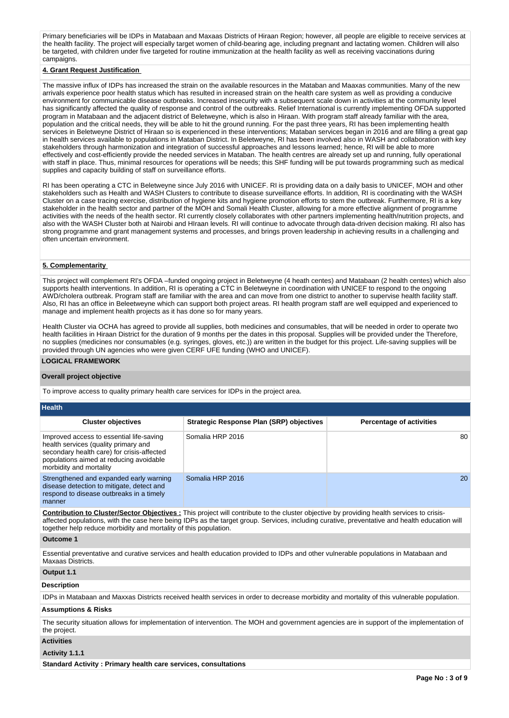Primary beneficiaries will be IDPs in Matabaan and Maxaas Districts of Hiraan Region; however, all people are eligible to receive services at the health facility. The project will especially target women of child-bearing age, including pregnant and lactating women. Children will also be targeted, with children under five targeted for routine immunization at the health facility as well as receiving vaccinations during campaigns.

#### **4. Grant Request Justification**

The massive influx of IDPs has increased the strain on the available resources in the Mataban and Maaxas communities. Many of the new arrivals experience poor health status which has resulted in increased strain on the health care system as well as providing a conducive environment for communicable disease outbreaks. Increased insecurity with a subsequent scale down in activities at the community level has significantly affected the quality of response and control of the outbreaks. Relief International is currently implementing OFDA supported program in Matabaan and the adjacent district of Beletweyne, which is also in Hiraan. With program staff already familiar with the area, population and the critical needs, they will be able to hit the ground running. For the past three years, RI has been implementing health services in Beletweyne District of Hiraan so is experienced in these interventions; Mataban services began in 2016 and are filling a great gap in health services available to populations in Mataban District. In Beletweyne, RI has been involved also in WASH and collaboration with key stakeholders through harmonization and integration of successful approaches and lessons learned; hence, RI will be able to more effectively and cost-efficiently provide the needed services in Mataban. The health centres are already set up and running, fully operational with staff in place. Thus, minimal resources for operations will be needs; this SHF funding will be put towards programming such as medical supplies and capacity building of staff on surveillance efforts.

RI has been operating a CTC in Beletweyne since July 2016 with UNICEF. RI is providing data on a daily basis to UNICEF, MOH and other stakeholders such as Health and WASH Clusters to contribute to disease surveillance efforts. In addition, RI is coordinating with the WASH Cluster on a case tracing exercise, distribution of hygiene kits and hygiene promotion efforts to stem the outbreak. Furthermore, RI is a key stakeholder in the health sector and partner of the MOH and Somali Health Cluster, allowing for a more effective alignment of programme activities with the needs of the health sector. RI currently closely collaborates with other partners implementing health/nutrition projects, and also with the WASH Cluster both at Nairobi and HIraan levels. RI will continue to advocate through data-driven decision making. RI also has strong programme and grant management systems and processes, and brings proven leadership in achieving results in a challenging and often uncertain environment.

#### **5. Complementarity**

This project will complement RI's OFDA –funded ongoing project in Beletweyne (4 heath centes) and Matabaan (2 health centes) which also supports health interventions. In addition, RI is operating a CTC in Beletweyne in coordination with UNICEF to respond to the ongoing AWD/cholera outbreak. Program staff are familiar with the area and can move from one district to another to supervise health facility staff. Also, RI has an office in Beleetweyne which can support both project areas. RI health program staff are well equipped and experienced to manage and implement health projects as it has done so for many years.

Health Cluster via OCHA has agreed to provide all supplies, both medicines and consumables, that will be needed in order to operate two health facilities in Hiraan District for the duration of 9 months per the dates in this proposal. Supplies will be provided under the Therefore, no supplies (medicines nor consumables (e.g. syringes, gloves, etc.)) are written in the budget for this project. Life-saving supplies will be provided through UN agencies who were given CERF UFE funding (WHO and UNICEF).

# **LOGICAL FRAMEWORK**

#### **Overall project objective**

To improve access to quality primary health care services for IDPs in the project area.

| <b>Health</b>                                                                                                                                                                                        |                                                 |                                 |
|------------------------------------------------------------------------------------------------------------------------------------------------------------------------------------------------------|-------------------------------------------------|---------------------------------|
| <b>Cluster objectives</b>                                                                                                                                                                            | <b>Strategic Response Plan (SRP) objectives</b> | <b>Percentage of activities</b> |
| Improved access to essential life-saving<br>health services (quality primary and<br>secondary health care) for crisis-affected<br>populations aimed at reducing avoidable<br>morbidity and mortality | Somalia HRP 2016                                | 80                              |
| Strengthened and expanded early warning<br>disease detection to mitigate, detect and<br>respond to disease outbreaks in a timely<br>manner                                                           | Somalia HRP 2016                                | 20                              |

**Contribution to Cluster/Sector Objectives :** This project will contribute to the cluster objective by providing health services to crisisaffected populations, with the case here being IDPs as the target group. Services, including curative, preventative and health education will together help reduce morbidity and mortality of this population.

## **Outcome 1**

Essential preventative and curative services and health education provided to IDPs and other vulnerable populations in Matabaan and Maxaas Districts.

## **Output 1.1**

#### **Description**

IDPs in Matabaan and Maxxas Districts received health services in order to decrease morbidity and mortality of this vulnerable population.

#### **Assumptions & Risks**

The security situation allows for implementation of intervention. The MOH and government agencies are in support of the implementation of the project.

#### **Activities**

#### **Activity 1.1.1**

**Standard Activity : Primary health care services, consultations**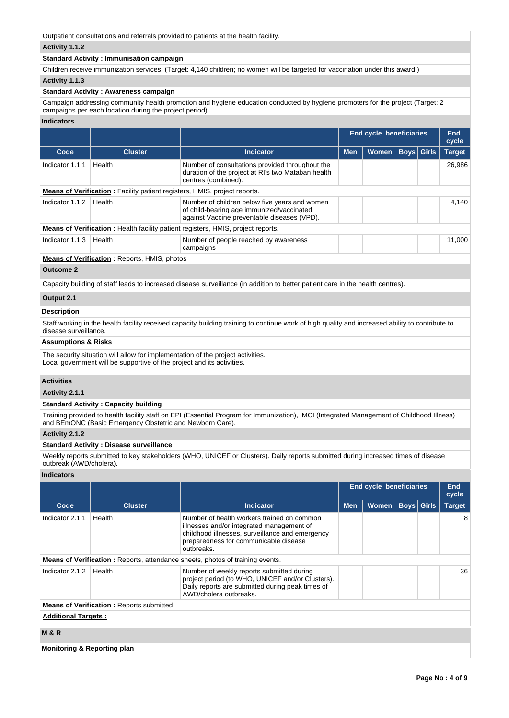Outpatient consultations and referrals provided to patients at the health facility.

# **Activity 1.1.2**

## **Standard Activity : Immunisation campaign**

Children receive immunization services. (Target: 4,140 children; no women will be targeted for vaccination under this award.)

# **Activity 1.1.3**

## **Standard Activity : Awareness campaign**

Campaign addressing community health promotion and hygiene education conducted by hygiene promoters for the project (Target: 2 campaigns per each location during the project period)

## **Indicators**

|                 |                                                                                  |                                                                                                                                           | <b>End cycle beneficiaries</b> |              |  |                   | End<br>cycle  |
|-----------------|----------------------------------------------------------------------------------|-------------------------------------------------------------------------------------------------------------------------------------------|--------------------------------|--------------|--|-------------------|---------------|
| Code            | <b>Cluster</b>                                                                   | Indicator                                                                                                                                 | <b>Men</b>                     | <b>Women</b> |  | <b>Boys</b> Girls | <b>Target</b> |
| Indicator 1.1.1 | Health                                                                           | Number of consultations provided throughout the<br>duration of the project at RI's two Mataban health<br>centres (combined).              |                                |              |  |                   | 26,986        |
|                 | <b>Means of Verification:</b> Facility patient registers, HMIS, project reports. |                                                                                                                                           |                                |              |  |                   |               |
| Indicator 1.1.2 | Health                                                                           | Number of children below five years and women<br>of child-bearing age immunized/vaccinated<br>against Vaccine preventable diseases (VPD). |                                |              |  |                   | 4.140         |
|                 |                                                                                  | <b>Means of Verification:</b> Health facility patient registers, HMIS, project reports.                                                   |                                |              |  |                   |               |
| Indicator 1.1.3 | Health                                                                           | Number of people reached by awareness<br>campaigns                                                                                        |                                |              |  |                   | 11.000        |
|                 | $M = 0.5$ of $M = 0.5$ and $M = 0.5$ and $M = 0.5$ and $M = 0.5$                 |                                                                                                                                           |                                |              |  |                   |               |

#### **Means of Verification :** Reports, HMIS, photos

## **Outcome 2**

Capacity building of staff leads to increased disease surveillance (in addition to better patient care in the health centres).

# **Output 2.1**

## **Description**

Staff working in the health facility received capacity building training to continue work of high quality and increased ability to contribute to disease surveillance.

## **Assumptions & Risks**

The security situation will allow for implementation of the project activities. Local government will be supportive of the project and its activities.

# **Activities**

## **Activity 2.1.1**

### **Standard Activity : Capacity building**

Training provided to health facility staff on EPI (Essential Program for Immunization), IMCI (Integrated Management of Childhood Illness) and BEmONC (Basic Emergency Obstetric and Newborn Care).

## **Activity 2.1.2**

# **Standard Activity : Disease surveillance**

Weekly reports submitted to key stakeholders (WHO, UNICEF or Clusters). Daily reports submitted during increased times of disease outbreak (AWD/cholera).

## **Indicators**

|                            |                                                 |                                                                                                                                                                                                   | <b>End cycle beneficiaries</b> |              |                   |  | End<br>cycle  |  |  |
|----------------------------|-------------------------------------------------|---------------------------------------------------------------------------------------------------------------------------------------------------------------------------------------------------|--------------------------------|--------------|-------------------|--|---------------|--|--|
| Code                       | <b>Cluster</b>                                  | <b>Indicator</b>                                                                                                                                                                                  | <b>Men</b>                     | <b>Women</b> | <b>Boys Girls</b> |  | <b>Target</b> |  |  |
| Indicator 2.1.1            | Health                                          | Number of health workers trained on common<br>illnesses and/or integrated management of<br>childhood illnesses, surveillance and emergency<br>preparedness for communicable disease<br>outbreaks. |                                |              |                   |  | 8             |  |  |
|                            |                                                 | <b>Means of Verification:</b> Reports, attendance sheets, photos of training events.                                                                                                              |                                |              |                   |  |               |  |  |
| Indicator 2.1.2            | Health                                          | Number of weekly reports submitted during<br>project period (to WHO, UNICEF and/or Clusters).<br>Daily reports are submitted during peak times of<br>AWD/cholera outbreaks.                       |                                |              |                   |  | 36            |  |  |
|                            | <b>Means of Verification:</b> Reports submitted |                                                                                                                                                                                                   |                                |              |                   |  |               |  |  |
| <b>Additional Targets:</b> |                                                 |                                                                                                                                                                                                   |                                |              |                   |  |               |  |  |
| <b>M&amp;R</b>             |                                                 |                                                                                                                                                                                                   |                                |              |                   |  |               |  |  |

# **Monitoring & Reporting plan**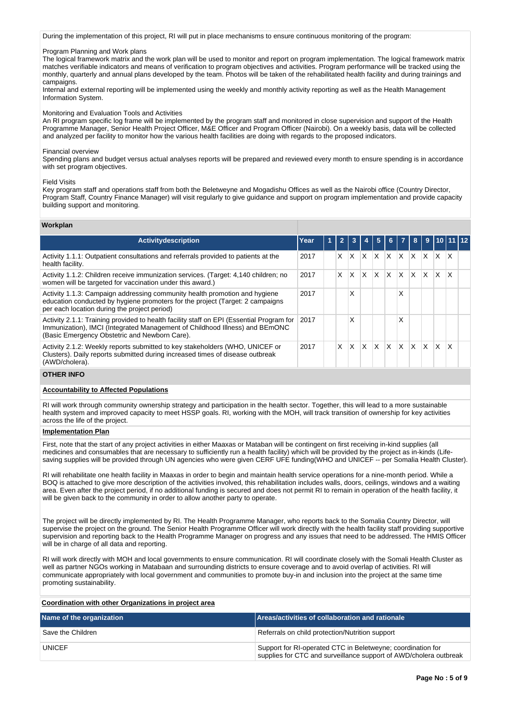During the implementation of this project, RI will put in place mechanisms to ensure continuous monitoring of the program:

Program Planning and Work plans

The logical framework matrix and the work plan will be used to monitor and report on program implementation. The logical framework matrix matches verifiable indicators and means of verification to program objectives and activities. Program performance will be tracked using the monthly, quarterly and annual plans developed by the team. Photos will be taken of the rehabilitated health facility and during trainings and campaigns.

Internal and external reporting will be implemented using the weekly and monthly activity reporting as well as the Health Management Information System.

Monitoring and Evaluation Tools and Activities

An RI program specific log frame will be implemented by the program staff and monitored in close supervision and support of the Health Programme Manager, Senior Health Project Officer, M&E Officer and Program Officer (Nairobi). On a weekly basis, data will be collected and analyzed per facility to monitor how the various health facilities are doing with regards to the proposed indicators.

#### Financial overview

Spending plans and budget versus actual analyses reports will be prepared and reviewed every month to ensure spending is in accordance with set program objectives.

#### Field Visits

Key program staff and operations staff from both the Beletweyne and Mogadishu Offices as well as the Nairobi office (Country Director, Program Staff, Country Finance Manager) will visit regularly to give guidance and support on program implementation and provide capacity building support and monitoring.

#### **Workplan**

| <b>Activitydescription</b>                                                                                                                                                                                               | Year | 1 |   |   |   | 5            | 6.           |    | 8        | -9 |   |   | $\sqrt{10 11 12}$ |
|--------------------------------------------------------------------------------------------------------------------------------------------------------------------------------------------------------------------------|------|---|---|---|---|--------------|--------------|----|----------|----|---|---|-------------------|
| Activity 1.1.1: Outpatient consultations and referrals provided to patients at the<br>health facility.                                                                                                                   | 2017 |   | X | X | x | X            | ΙX           | X. | X        | X  | x | X |                   |
| Activity 1.1.2: Children receive immunization services. (Target: 4,140 children; no<br>women will be targeted for vaccination under this award.)                                                                         | 2017 |   | X | X | X | $\mathsf{X}$ | ΙX.          | X. | $\times$ | X  | X | X |                   |
| Activity 1.1.3: Campaign addressing community health promotion and hygiene<br>education conducted by hygiene promoters for the project (Target: 2 campaigns<br>per each location during the project period)              | 2017 |   |   | Χ |   |              |              | X  |          |    |   |   |                   |
| Activity 2.1.1: Training provided to health facility staff on EPI (Essential Program for<br>Immunization), IMCI (Integrated Management of Childhood Illness) and BEmONC<br>(Basic Emergency Obstetric and Newborn Care). | 2017 |   |   | Χ |   |              |              | Χ  |          |    |   |   |                   |
| Activity 2.1.2: Weekly reports submitted to key stakeholders (WHO, UNICEF or<br>Clusters). Daily reports submitted during increased times of disease outbreak<br>(AWD/cholera).                                          | 2017 |   | X | X | x | X            | <sup>X</sup> | X  | $\times$ | X  | x | x |                   |

## **OTHER INFO**

#### **Accountability to Affected Populations**

RI will work through community ownership strategy and participation in the health sector. Together, this will lead to a more sustainable health system and improved capacity to meet HSSP goals. RI, working with the MOH, will track transition of ownership for key activities across the life of the project.

#### **Implementation Plan**

First, note that the start of any project activities in either Maaxas or Mataban will be contingent on first receiving in-kind supplies (all medicines and consumables that are necessary to sufficiently run a health facility) which will be provided by the project as in-kinds (Lifesaving supplies will be provided through UN agencies who were given CERF UFE funding(WHO and UNICEF -- per Somalia Health Cluster).

RI will rehabilitate one health facility in Maaxas in order to begin and maintain health service operations for a nine-month period. While a BOQ is attached to give more description of the activities involved, this rehabilitation includes walls, doors, ceilings, windows and a waiting area. Even after the project period, if no additional funding is secured and does not permit RI to remain in operation of the health facility, it will be given back to the community in order to allow another party to operate.

The project will be directly implemented by RI. The Health Programme Manager, who reports back to the Somalia Country Director, will supervise the project on the ground. The Senior Health Programme Officer will work directly with the health facility staff providing supportive supervision and reporting back to the Health Programme Manager on progress and any issues that need to be addressed. The HMIS Officer will be in charge of all data and reporting.

RI will work directly with MOH and local governments to ensure communication. RI will coordinate closely with the Somali Health Cluster as well as partner NGOs working in Matabaan and surrounding districts to ensure coverage and to avoid overlap of activities. RI will communicate appropriately with local government and communities to promote buy-in and inclusion into the project at the same time promoting sustainability.

## **Coordination with other Organizations in project area**

| Name of the organization | Areas/activities of collaboration and rationale                                                                                  |
|--------------------------|----------------------------------------------------------------------------------------------------------------------------------|
| Save the Children        | Referrals on child protection/Nutrition support                                                                                  |
| <b>UNICEF</b>            | Support for RI-operated CTC in Beletweyne; coordination for<br>supplies for CTC and surveillance support of AWD/cholera outbreak |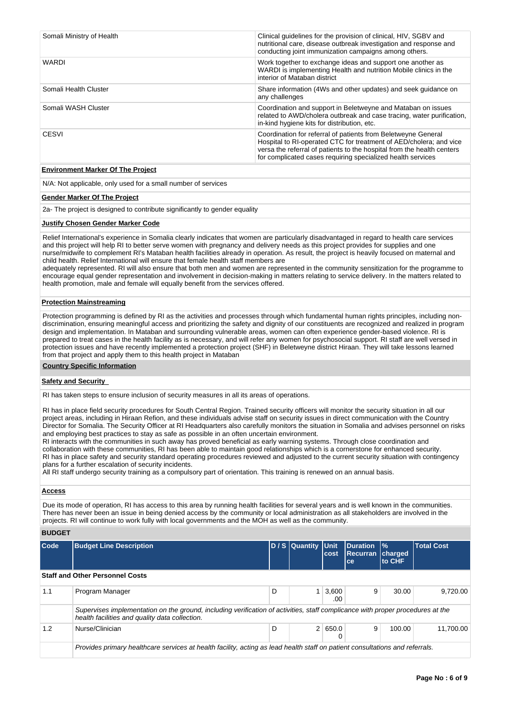| Somali Ministry of Health                | Clinical quidelines for the provision of clinical, HIV, SGBV and<br>nutritional care, disease outbreak investigation and response and<br>conducting joint immunization campaigns among others.                                                                               |
|------------------------------------------|------------------------------------------------------------------------------------------------------------------------------------------------------------------------------------------------------------------------------------------------------------------------------|
| <b>WARDI</b>                             | Work together to exchange ideas and support one another as<br>WARDI is implementing Health and nutrition Mobile clinics in the<br>interior of Mataban district                                                                                                               |
| Somali Health Cluster                    | Share information (4Ws and other updates) and seek guidance on<br>any challenges                                                                                                                                                                                             |
| Somali WASH Cluster                      | Coordination and support in Beletweyne and Mataban on issues<br>related to AWD/cholera outbreak and case tracing, water purification,<br>in-kind hygiene kits for distribution, etc.                                                                                         |
| CESVI                                    | Coordination for referral of patients from Beletweyne General<br>Hospital to RI-operated CTC for treatment of AED/cholera; and vice<br>versa the referral of patients to the hospital from the health centers<br>for complicated cases requiring specialized health services |
| <b>Environment Marker Of The Project</b> |                                                                                                                                                                                                                                                                              |

N/A: Not applicable, only used for a small number of services

#### **Gender Marker Of The Project**

2a- The project is designed to contribute significantly to gender equality

#### **Justify Chosen Gender Marker Code**

Relief International's experience in Somalia clearly indicates that women are particularly disadvantaged in regard to health care services and this project will help RI to better serve women with pregnancy and delivery needs as this project provides for supplies and one nurse/midwife to complement RI's Mataban health facilities already in operation. As result, the project is heavily focused on maternal and child health. Relief International will ensure that female health staff members are

adequately represented. RI will also ensure that both men and women are represented in the community sensitization for the programme to encourage equal gender representation and involvement in decision-making in matters relating to service delivery. In the matters related to health promotion, male and female will equally benefit from the services offered.

#### **Protection Mainstreaming**

Protection programming is defined by RI as the activities and processes through which fundamental human rights principles, including nondiscrimination, ensuring meaningful access and prioritizing the safety and dignity of our constituents are recognized and realized in program design and implementation. In Mataban and surrounding vulnerable areas, women can often experience gender-based violence. RI is prepared to treat cases in the health facility as is necessary, and will refer any women for psychosocial support. RI staff are well versed in protection issues and have recently implemented a protection project (SHF) in Beletweyne district Hiraan. They will take lessons learned from that project and apply them to this health project in Mataban

#### **Country Specific Information**

#### **Safety and Security**

RI has taken steps to ensure inclusion of security measures in all its areas of operations.

RI has in place field security procedures for South Central Region. Trained security officers will monitor the security situation in all our project areas, including in Hiraan Refion, and these individuals advise staff on security issues in direct communication with the Country Director for Somalia. The Security Officer at RI Headquarters also carefully monitors the situation in Somalia and advises personnel on risks and employing best practices to stay as safe as possible in an often uncertain environment.

RI interacts with the communities in such away has proved beneficial as early warning systems. Through close coordination and collaboration with these communities, RI has been able to maintain good relationships which is a cornerstone for enhanced security. RI has in place safety and security standard operating procedures reviewed and adjusted to the current security situation with contingency plans for a further escalation of security incidents.

All RI staff undergo security training as a compulsory part of orientation. This training is renewed on an annual basis.

## **Access**

Due its mode of operation, RI has access to this area by running health facilities for several years and is well known in the communities. There has never been an issue in being denied access by the community or local administration as all stakeholders are involved in the projects. RI will continue to work fully with local governments and the MOH as well as the community.

#### **BUDGET**

| Code | <b>Budget Line Description</b>                                                                                                                                                   |   | D / S Quantity Unit | cost         | <b>IDuration 1%</b><br><b>Recurran charged</b><br>ce | to CHF | <b>Total Cost</b> |  |  |  |  |
|------|----------------------------------------------------------------------------------------------------------------------------------------------------------------------------------|---|---------------------|--------------|------------------------------------------------------|--------|-------------------|--|--|--|--|
|      | <b>Staff and Other Personnel Costs</b>                                                                                                                                           |   |                     |              |                                                      |        |                   |  |  |  |  |
| 1.1  | Program Manager                                                                                                                                                                  | D |                     | 3.600<br>.00 | 9                                                    | 30.00  | 9.720.00          |  |  |  |  |
|      | Supervises implementation on the ground, including verification of activities, staff complicance with proper procedures at the<br>health facilities and quality data collection. |   |                     |              |                                                      |        |                   |  |  |  |  |
| 1.2  | Nurse/Clinician                                                                                                                                                                  | D |                     | 2   650.0    | 9                                                    | 100.00 | 11.700.00         |  |  |  |  |
|      | Provides primary healthcare services at health facility, acting as lead health staff on patient consultations and referrals.                                                     |   |                     |              |                                                      |        |                   |  |  |  |  |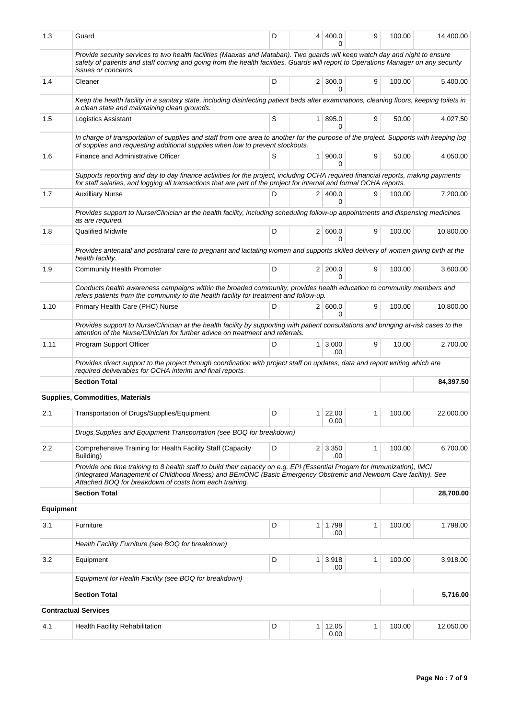| 1.3              | Guard                                                                                                                                                                                                                                                                                                       | D | 4        | 400.0<br>0                 | 9            | 100.00 | 14,400.00 |  |
|------------------|-------------------------------------------------------------------------------------------------------------------------------------------------------------------------------------------------------------------------------------------------------------------------------------------------------------|---|----------|----------------------------|--------------|--------|-----------|--|
|                  | Provide security services to two health facilities (Maaxas and Mataban). Two guards will keep watch day and night to ensure<br>safety of patients and staff coming and going from the health facilities. Guards will report to Operations Manager on any security<br><i>issues or concerns.</i>             |   |          |                            |              |        |           |  |
| 1.4              | Cleaner                                                                                                                                                                                                                                                                                                     | D |          | $2 \mid 300.0$<br>$\Omega$ | 9            | 100.00 | 5,400.00  |  |
|                  | Keep the health facility in a sanitary state, including disinfecting patient beds after examinations, cleaning floors, keeping toilets in<br>a clean state and maintaining clean grounds.                                                                                                                   |   |          |                            |              |        |           |  |
| 1.5              | Logistics Assistant                                                                                                                                                                                                                                                                                         | S |          | 1 895.0<br>0               | 9            | 50.00  | 4,027.50  |  |
|                  | In charge of transportation of supplies and staff from one area to another for the purpose of the project. Supports with keeping log<br>of supplies and requesting additional supplies when low to prevent stockouts.                                                                                       |   |          |                            |              |        |           |  |
| 1.6              | Finance and Administrative Officer                                                                                                                                                                                                                                                                          | S |          | 1 900.0<br>0               | 9            | 50.00  | 4,050.00  |  |
|                  | Supports reporting and day to day finance activities for the project, including OCHA required financial reports, making payments<br>for staff salaries, and logging all transactions that are part of the project for internal and formal OCHA reports.                                                     |   |          |                            |              |        |           |  |
| 1.7              | <b>Auxilliary Nurse</b>                                                                                                                                                                                                                                                                                     | D |          | 2 400.0<br>$\Omega$        | 9            | 100.00 | 7,200.00  |  |
|                  | Provides support to Nurse/Clinician at the health facility, including scheduling follow-up appointments and dispensing medicines<br>as are required.                                                                                                                                                        |   |          |                            |              |        |           |  |
| 1.8              | <b>Qualified Midwife</b>                                                                                                                                                                                                                                                                                    | D |          | 2   600.0<br>0             | 9            | 100.00 | 10,800.00 |  |
|                  | Provides antenatal and postnatal care to pregnant and lactating women and supports skilled delivery of women giving birth at the<br>health facility.                                                                                                                                                        |   |          |                            |              |        |           |  |
| 1.9              | Community Health Promoter                                                                                                                                                                                                                                                                                   | D |          | 2 200.0<br>0               | 9            | 100.00 | 3,600.00  |  |
|                  | Conducts health awareness campaigns within the broaded community, provides health education to community members and<br>refers patients from the community to the health facility for treatment and follow-up.                                                                                              |   |          |                            |              |        |           |  |
| 1.10             | Primary Health Care (PHC) Nurse                                                                                                                                                                                                                                                                             | D |          | 2   600.0<br>$\Omega$      | 9            | 100.00 | 10,800.00 |  |
|                  | Provides support to Nurse/Clinician at the health facility by supporting with patient consultations and bringing at-risk cases to the<br>attention of the Nurse/Clinician for further advice on treatment and referrals.                                                                                    |   |          |                            |              |        |           |  |
| 1.11             | Program Support Officer                                                                                                                                                                                                                                                                                     | D |          | $1 \mid 3,000$<br>.00      | 9            | 10.00  | 2,700.00  |  |
|                  | Provides direct support to the project through coordination with project staff on updates, data and report writing which are<br>required deliverables for OCHA interim and final reports.                                                                                                                   |   |          |                            |              |        |           |  |
|                  | <b>Section Total</b>                                                                                                                                                                                                                                                                                        |   |          |                            |              |        | 84,397.50 |  |
|                  | <b>Supplies, Commodities, Materials</b>                                                                                                                                                                                                                                                                     |   |          |                            |              |        |           |  |
| 2.1              | Transportation of Drugs/Supplies/Equipment                                                                                                                                                                                                                                                                  | D | 1        | 22,00<br>0.00              | 1            | 100.00 | 22,000.00 |  |
|                  | Drugs, Supplies and Equipment Transportation (see BOQ for breakdown)                                                                                                                                                                                                                                        |   |          |                            |              |        |           |  |
| 2.2              | Comprehensive Training for Health Facility Staff (Capacity<br>Building)                                                                                                                                                                                                                                     | D |          | $2 \mid 3,350$<br>.00      | 1            | 100.00 | 6,700.00  |  |
|                  | Provide one time training to 8 health staff to build their capacity on e.g. EPI (Essential Progam for Immunization), IMCI<br>(Integrated Management of Childhood Illness) and BEmONC (Basic Emergency Obstretric and Newborn Care facility). See<br>Attached BOQ for breakdown of costs from each training. |   |          |                            |              |        |           |  |
|                  | <b>Section Total</b>                                                                                                                                                                                                                                                                                        |   |          |                            |              |        | 28,700.00 |  |
| <b>Equipment</b> |                                                                                                                                                                                                                                                                                                             |   |          |                            |              |        |           |  |
| 3.1              | Furniture                                                                                                                                                                                                                                                                                                   | D |          | $1 \mid 1,798$<br>.00      | 1            | 100.00 | 1,798.00  |  |
|                  | Health Facility Furniture (see BOQ for breakdown)                                                                                                                                                                                                                                                           |   |          |                            |              |        |           |  |
| 3.2              | Equipment                                                                                                                                                                                                                                                                                                   | D |          | $1 \mid 3,918$<br>.00      | $\mathbf{1}$ | 100.00 | 3,918.00  |  |
|                  | Equipment for Health Facility (see BOQ for breakdown)                                                                                                                                                                                                                                                       |   |          |                            |              |        |           |  |
|                  | <b>Section Total</b>                                                                                                                                                                                                                                                                                        |   | 5,716.00 |                            |              |        |           |  |
|                  | <b>Contractual Services</b>                                                                                                                                                                                                                                                                                 |   |          |                            |              |        |           |  |
| 4.1              | Health Facility Rehabilitation                                                                                                                                                                                                                                                                              | D |          | $1 \mid 12,05$<br>0.00     | 1            | 100.00 | 12,050.00 |  |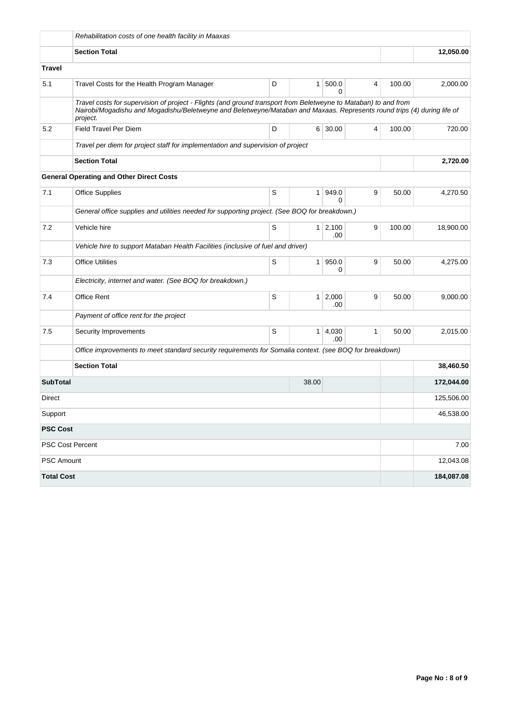|                   | Rehabilitation costs of one health facility in Maaxas                                                                                                                                                                                                  |   |                |                       |   |        |            |  |  |  |
|-------------------|--------------------------------------------------------------------------------------------------------------------------------------------------------------------------------------------------------------------------------------------------------|---|----------------|-----------------------|---|--------|------------|--|--|--|
|                   | <b>Section Total</b>                                                                                                                                                                                                                                   |   |                |                       |   |        |            |  |  |  |
| Travel            |                                                                                                                                                                                                                                                        |   |                |                       |   |        |            |  |  |  |
| 5.1               | Travel Costs for the Health Program Manager                                                                                                                                                                                                            | D | 1 <sup>1</sup> | 500.0<br>$\Omega$     | 4 | 100.00 | 2,000.00   |  |  |  |
|                   | Travel costs for supervision of project - Flights (and ground transport from Beletweyne to Mataban) to and from<br>Nairobi/Mogadishu and Mogadishu/Beletweyne and Beletweyne/Mataban and Maxaas. Represents round trips (4) during life of<br>project. |   |                |                       |   |        |            |  |  |  |
| 5.2               | <b>Field Travel Per Diem</b>                                                                                                                                                                                                                           | D |                | 6 30.00               | 4 | 100.00 | 720.00     |  |  |  |
|                   | Travel per diem for project staff for implementation and supervision of project                                                                                                                                                                        |   |                |                       |   |        |            |  |  |  |
|                   | <b>Section Total</b>                                                                                                                                                                                                                                   |   | 2,720.00       |                       |   |        |            |  |  |  |
|                   | <b>General Operating and Other Direct Costs</b>                                                                                                                                                                                                        |   |                |                       |   |        |            |  |  |  |
| 7.1               | <b>Office Supplies</b>                                                                                                                                                                                                                                 | S | 1 <sup>1</sup> | 949.0<br><sup>0</sup> | 9 | 50.00  | 4,270.50   |  |  |  |
|                   | General office supplies and utilities needed for supporting project. (See BOQ for breakdown.)                                                                                                                                                          |   |                |                       |   |        |            |  |  |  |
| 7.2               | Vehicle hire                                                                                                                                                                                                                                           | S |                | $1 \ 2,100$<br>.00    | 9 | 100.00 | 18,900.00  |  |  |  |
|                   | Vehicle hire to support Mataban Health Facilities (inclusive of fuel and driver)                                                                                                                                                                       |   |                |                       |   |        |            |  |  |  |
| 7.3               | <b>Office Utilities</b>                                                                                                                                                                                                                                | S | 1 <sup>1</sup> | 950.0<br>0            | 9 | 50.00  | 4,275.00   |  |  |  |
|                   | Electricity, internet and water. (See BOQ for breakdown.)                                                                                                                                                                                              |   |                |                       |   |        |            |  |  |  |
| 7.4               | Office Rent                                                                                                                                                                                                                                            | S | 1 <sup>1</sup> | 2,000<br>.00          | 9 | 50.00  | 9,000.00   |  |  |  |
|                   | Payment of office rent for the project                                                                                                                                                                                                                 |   |                |                       |   |        |            |  |  |  |
| 7.5               | Security Improvements                                                                                                                                                                                                                                  | S | 1 <sup>1</sup> | 4,030<br>.00          | 1 | 50.00  | 2,015.00   |  |  |  |
|                   | Office improvements to meet standard security requirements for Somalia context. (see BOQ for breakdown)                                                                                                                                                |   |                |                       |   |        |            |  |  |  |
|                   | <b>Section Total</b>                                                                                                                                                                                                                                   |   | 38,460.50      |                       |   |        |            |  |  |  |
| <b>SubTotal</b>   |                                                                                                                                                                                                                                                        |   | 38.00          |                       |   |        | 172,044.00 |  |  |  |
| Direct            |                                                                                                                                                                                                                                                        |   |                |                       |   |        | 125,506.00 |  |  |  |
| Support           |                                                                                                                                                                                                                                                        |   |                |                       |   |        | 46,538.00  |  |  |  |
| <b>PSC Cost</b>   |                                                                                                                                                                                                                                                        |   |                |                       |   |        |            |  |  |  |
|                   | PSC Cost Percent                                                                                                                                                                                                                                       |   |                |                       |   |        | 7.00       |  |  |  |
| PSC Amount        |                                                                                                                                                                                                                                                        |   |                |                       |   |        | 12,043.08  |  |  |  |
| <b>Total Cost</b> |                                                                                                                                                                                                                                                        |   |                |                       |   |        | 184,087.08 |  |  |  |